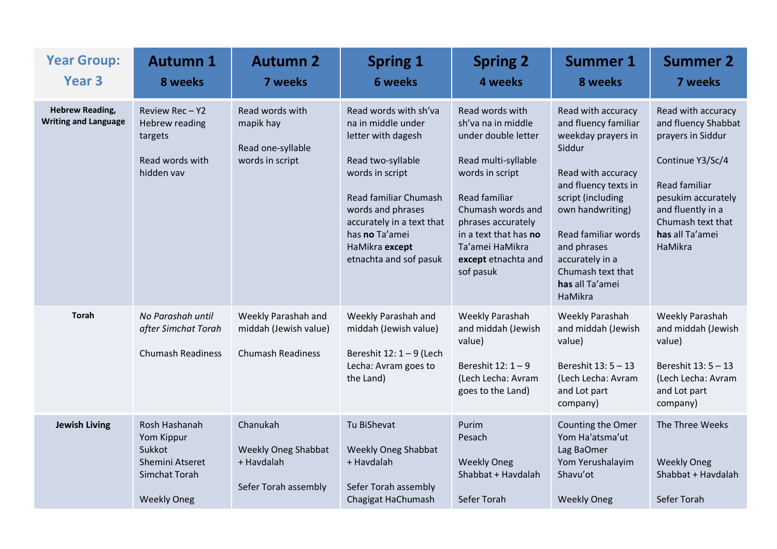| <b>Year Group:</b><br>Year <sub>3</sub>               | <b>Autumn 1</b><br>8 weeks                                                                      | <b>Autumn 2</b><br><b>7 weeks</b>                                            | <b>Spring 1</b><br><b>6 weeks</b>                                                                                                                                                                                                                  | <b>Spring 2</b><br>4 weeks                                                                                                                                                                                                                                | <b>Summer 1</b><br>8 weeks                                                                                                                                                                                                                                                    | <b>Summer 2</b><br>7 weeks                                                                                                                                                                               |
|-------------------------------------------------------|-------------------------------------------------------------------------------------------------|------------------------------------------------------------------------------|----------------------------------------------------------------------------------------------------------------------------------------------------------------------------------------------------------------------------------------------------|-----------------------------------------------------------------------------------------------------------------------------------------------------------------------------------------------------------------------------------------------------------|-------------------------------------------------------------------------------------------------------------------------------------------------------------------------------------------------------------------------------------------------------------------------------|----------------------------------------------------------------------------------------------------------------------------------------------------------------------------------------------------------|
| <b>Hebrew Reading,</b><br><b>Writing and Language</b> | Review Rec-Y2<br><b>Hebrew reading</b><br>targets<br>Read words with<br>hidden vav              | Read words with<br>mapik hay<br>Read one-syllable<br>words in script         | Read words with sh'va<br>na in middle under<br>letter with dagesh<br>Read two-syllable<br>words in script<br>Read familiar Chumash<br>words and phrases<br>accurately in a text that<br>has no Ta'amei<br>HaMikra except<br>etnachta and sof pasuk | Read words with<br>sh'va na in middle<br>under double letter<br>Read multi-syllable<br>words in script<br><b>Read familiar</b><br>Chumash words and<br>phrases accurately<br>in a text that has no<br>Ta'amei HaMikra<br>except etnachta and<br>sof pasuk | Read with accuracy<br>and fluency familiar<br>weekday prayers in<br>Siddur<br>Read with accuracy<br>and fluency texts in<br>script (including<br>own handwriting)<br>Read familiar words<br>and phrases<br>accurately in a<br>Chumash text that<br>has all Ta'amei<br>HaMikra | Read with accuracy<br>and fluency Shabbat<br>prayers in Siddur<br>Continue Y3/Sc/4<br><b>Read familiar</b><br>pesukim accurately<br>and fluently in a<br>Chumash text that<br>has all Ta'amei<br>HaMikra |
| <b>Torah</b>                                          | No Parashah until<br>after Simchat Torah<br><b>Chumash Readiness</b>                            | Weekly Parashah and<br>middah (Jewish value)<br><b>Chumash Readiness</b>     | Weekly Parashah and<br>middah (Jewish value)<br>Bereshit $12: 1 - 9$ (Lech<br>Lecha: Avram goes to<br>the Land)                                                                                                                                    | Weekly Parashah<br>and middah (Jewish<br>value)<br>Bereshit $12:1-9$<br>(Lech Lecha: Avram<br>goes to the Land)                                                                                                                                           | <b>Weekly Parashah</b><br>and middah (Jewish<br>value)<br>Bereshit 13: 5 - 13<br>(Lech Lecha: Avram<br>and Lot part<br>company)                                                                                                                                               | Weekly Parashah<br>and middah (Jewish<br>value)<br>Bereshit 13: 5 - 13<br>(Lech Lecha: Avram<br>and Lot part<br>company)                                                                                 |
| <b>Jewish Living</b>                                  | Rosh Hashanah<br>Yom Kippur<br>Sukkot<br>Shemini Atseret<br>Simchat Torah<br><b>Weekly Oneg</b> | Chanukah<br><b>Weekly Oneg Shabbat</b><br>+ Havdalah<br>Sefer Torah assembly | Tu BiShevat<br><b>Weekly Oneg Shabbat</b><br>+ Havdalah<br>Sefer Torah assembly<br>Chagigat HaChumash                                                                                                                                              | Purim<br>Pesach<br><b>Weekly Oneg</b><br>Shabbat + Havdalah<br>Sefer Torah                                                                                                                                                                                | Counting the Omer<br>Yom Ha'atsma'ut<br>Lag BaOmer<br>Yom Yerushalayim<br>Shavu'ot<br><b>Weekly Oneg</b>                                                                                                                                                                      | The Three Weeks<br><b>Weekly Oneg</b><br>Shabbat + Havdalah<br>Sefer Torah                                                                                                                               |